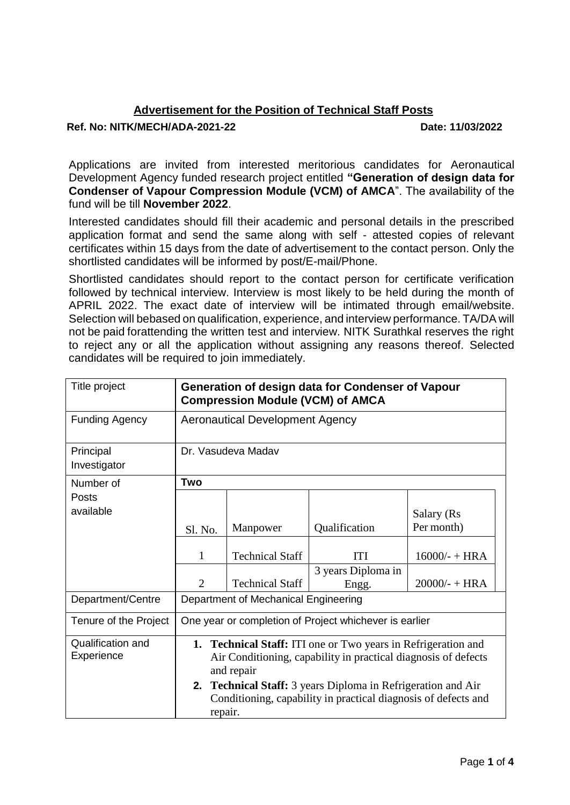## **Advertisement for the Position of Technical Staff Posts**

## **Ref. No: NITK/MECH/ADA-2021-22 Date: 11/03/2022**

Applications are invited from interested meritorious candidates for Aeronautical Development Agency funded research project entitled **"Generation of design data for Condenser of Vapour Compression Module (VCM) of AMCA**". The availability of the fund will be till **November 2022**.

Interested candidates should fill their academic and personal details in the prescribed application format and send the same along with self - attested copies of relevant certificates within 15 days from the date of advertisement to the contact person. Only the shortlisted candidates will be informed by post/E-mail/Phone.

Shortlisted candidates should report to the contact person for certificate verification followed by technical interview. Interview is most likely to be held during the month of APRIL 2022. The exact date of interview will be intimated through email/website. Selection will bebased on qualification, experience, and interview performance. TA/DA will not be paid forattending the written test and interview. NITK Surathkal reserves the right to reject any or all the application without assigning any reasons thereof. Selected candidates will be required to join immediately.

| Title project                   | Generation of design data for Condenser of Vapour<br><b>Compression Module (VCM) of AMCA</b>                                                                                                                                                                                                             |                        |                             |                          |
|---------------------------------|----------------------------------------------------------------------------------------------------------------------------------------------------------------------------------------------------------------------------------------------------------------------------------------------------------|------------------------|-----------------------------|--------------------------|
| <b>Funding Agency</b>           | <b>Aeronautical Development Agency</b>                                                                                                                                                                                                                                                                   |                        |                             |                          |
| Principal<br>Investigator       | Dr. Vasudeva Madav                                                                                                                                                                                                                                                                                       |                        |                             |                          |
| Number of                       | Two                                                                                                                                                                                                                                                                                                      |                        |                             |                          |
| <b>Posts</b><br>available       | Sl. No.                                                                                                                                                                                                                                                                                                  | Manpower               | Qualification               | Salary (Rs<br>Per month) |
|                                 |                                                                                                                                                                                                                                                                                                          |                        |                             |                          |
|                                 | 1                                                                                                                                                                                                                                                                                                        | <b>Technical Staff</b> | <b>ITI</b>                  | $16000/- + HRA$          |
|                                 | $\overline{2}$                                                                                                                                                                                                                                                                                           | <b>Technical Staff</b> | 3 years Diploma in<br>Engg. | $20000/- + HRA$          |
| Department/Centre               | Department of Mechanical Engineering                                                                                                                                                                                                                                                                     |                        |                             |                          |
| Tenure of the Project           | One year or completion of Project whichever is earlier                                                                                                                                                                                                                                                   |                        |                             |                          |
| Qualification and<br>Experience | <b>1. Technical Staff:</b> ITI one or Two years in Refrigeration and<br>Air Conditioning, capability in practical diagnosis of defects<br>and repair<br><b>2. Technical Staff:</b> 3 years Diploma in Refrigeration and Air<br>Conditioning, capability in practical diagnosis of defects and<br>repair. |                        |                             |                          |